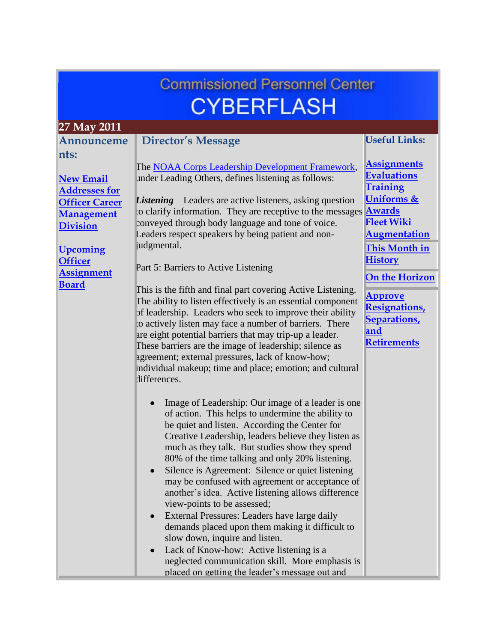# **Commissioned Personnel Center CYBERFLASH**

<span id="page-0-0"></span>

| 27 May 2011           |                                                                                                                                                                                                                                                                                                                                                                                                                                                                                                                                                                                                                                                                                                                                                              |                                                                                          |
|-----------------------|--------------------------------------------------------------------------------------------------------------------------------------------------------------------------------------------------------------------------------------------------------------------------------------------------------------------------------------------------------------------------------------------------------------------------------------------------------------------------------------------------------------------------------------------------------------------------------------------------------------------------------------------------------------------------------------------------------------------------------------------------------------|------------------------------------------------------------------------------------------|
| Announceme            | <b>Director's Message</b>                                                                                                                                                                                                                                                                                                                                                                                                                                                                                                                                                                                                                                                                                                                                    | <b>Useful Links:</b>                                                                     |
| nts:                  |                                                                                                                                                                                                                                                                                                                                                                                                                                                                                                                                                                                                                                                                                                                                                              |                                                                                          |
|                       | The NOAA Corps Leadership Development Framework,                                                                                                                                                                                                                                                                                                                                                                                                                                                                                                                                                                                                                                                                                                             | <b>Assignments</b>                                                                       |
| <b>New Email</b>      | under Leading Others, defines listening as follows:                                                                                                                                                                                                                                                                                                                                                                                                                                                                                                                                                                                                                                                                                                          | <b>Evaluations</b>                                                                       |
| <b>Addresses for</b>  |                                                                                                                                                                                                                                                                                                                                                                                                                                                                                                                                                                                                                                                                                                                                                              | <b>Training</b>                                                                          |
| <b>Officer Career</b> | <b>Listening</b> – Leaders are active listeners, asking question                                                                                                                                                                                                                                                                                                                                                                                                                                                                                                                                                                                                                                                                                             | Uniforms &                                                                               |
| <b>Management</b>     | to clarify information. They are receptive to the messages                                                                                                                                                                                                                                                                                                                                                                                                                                                                                                                                                                                                                                                                                                   | <b>Awards</b><br><b>Fleet Wiki</b>                                                       |
| <b>Division</b>       | conveyed through body language and tone of voice.<br>Leaders respect speakers by being patient and non-                                                                                                                                                                                                                                                                                                                                                                                                                                                                                                                                                                                                                                                      | <b>Augmentation</b>                                                                      |
|                       | judgmental.                                                                                                                                                                                                                                                                                                                                                                                                                                                                                                                                                                                                                                                                                                                                                  |                                                                                          |
| <b>Upcoming</b>       |                                                                                                                                                                                                                                                                                                                                                                                                                                                                                                                                                                                                                                                                                                                                                              | This Month in                                                                            |
| <b>Officer</b>        | Part 5: Barriers to Active Listening                                                                                                                                                                                                                                                                                                                                                                                                                                                                                                                                                                                                                                                                                                                         | <b>History</b>                                                                           |
| <b>Assignment</b>     |                                                                                                                                                                                                                                                                                                                                                                                                                                                                                                                                                                                                                                                                                                                                                              | <b>On the Horizon</b>                                                                    |
| <b>Board</b>          | This is the fifth and final part covering Active Listening.<br>The ability to listen effectively is an essential component<br>of leadership. Leaders who seek to improve their ability<br>to actively listen may face a number of barriers. There<br>are eight potential barriers that may trip-up a leader.<br>These barriers are the image of leadership; silence as<br>agreement; external pressures, lack of know-how;<br>individual makeup; time and place; emotion; and cultural<br>differences.<br>Image of Leadership: Our image of a leader is one                                                                                                                                                                                                  | <b>Approve</b><br><b>Resignations</b><br><b>Separations</b><br>and<br><b>Retirements</b> |
|                       | of action. This helps to undermine the ability to<br>be quiet and listen. According the Center for<br>Creative Leadership, leaders believe they listen as<br>much as they talk. But studies show they spend<br>80% of the time talking and only 20% listening.<br>Silence is Agreement: Silence or quiet listening<br>$\bullet$<br>may be confused with agreement or acceptance of<br>another's idea. Active listening allows difference<br>view-points to be assessed;<br>External Pressures: Leaders have large daily<br>demands placed upon them making it difficult to<br>slow down, inquire and listen.<br>Lack of Know-how: Active listening is a<br>neglected communication skill. More emphasis is<br>placed on getting the leader's message out and |                                                                                          |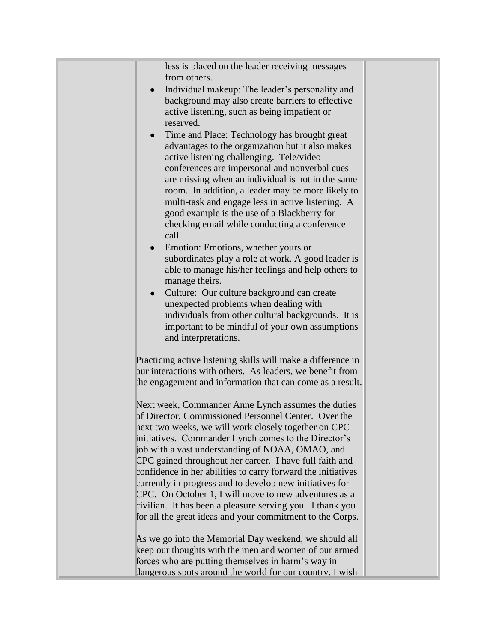less is placed on the leader receiving messages from others.

- Individual makeup: The leader's personality and background may also create barriers to effective active listening, such as being impatient or reserved.
- Time and Place: Technology has brought great advantages to the organization but it also makes active listening challenging. Tele/video conferences are impersonal and nonverbal cues are missing when an individual is not in the same room. In addition, a leader may be more likely to multi-task and engage less in active listening. A good example is the use of a Blackberry for checking email while conducting a conference call.
- Emotion: Emotions, whether yours or subordinates play a role at work. A good leader is able to manage his/her feelings and help others to manage theirs.
- Culture: Our culture background can create unexpected problems when dealing with individuals from other cultural backgrounds. It is important to be mindful of your own assumptions and interpretations.

Practicing active listening skills will make a difference in our interactions with others. As leaders, we benefit from the engagement and information that can come as a result.

Next week, Commander Anne Lynch assumes the duties of Director, Commissioned Personnel Center. Over the next two weeks, we will work closely together on CPC initiatives. Commander Lynch comes to the Director's job with a vast understanding of NOAA, OMAO, and CPC gained throughout her career. I have full faith and confidence in her abilities to carry forward the initiatives currently in progress and to develop new initiatives for CPC. On October 1, I will move to new adventures as a civilian. It has been a pleasure serving you. I thank you for all the great ideas and your commitment to the Corps.

As we go into the Memorial Day weekend, we should all keep our thoughts with the men and women of our armed forces who are putting themselves in harm's way in dangerous spots around the world for our country. I wish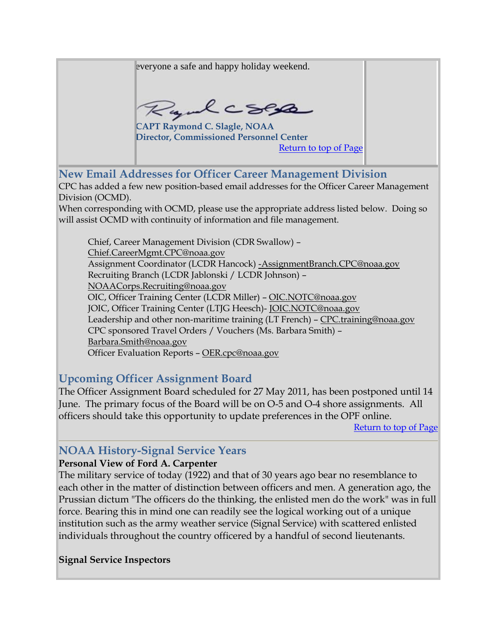everyone a safe and happy holiday weekend.

Rydcses

**CAPT Raymond C. Slagle, NOAA Director, Commissioned Personnel Center** [Return to top of Page](#page-0-0)

<span id="page-2-0"></span>**New Email Addresses for Officer Career Management Division**

CPC has added a few new position-based email addresses for the Officer Career Management Division (OCMD).

When corresponding with OCMD, please use the appropriate address listed below. Doing so will assist OCMD with continuity of information and file management.

Chief, Career Management Division (CDR Swallow) – [Chief.CareerMgmt.CPC@noaa.gov](mailto:Chief.CareerMgmt.CPC@noaa.gov) Assignment Coordinator (LCDR Hancock) [-AssignmentBranch.CPC@noaa.gov](mailto:-AssignmentBranch.CPC@noaa.gov) Recruiting Branch (LCDR Jablonski / LCDR Johnson) – [NOAACorps.Recruiting@noaa.gov](mailto:NOAACorps.Recruiting@noaa.gov) OIC, Officer Training Center (LCDR Miller) – [OIC.NOTC@noaa.gov](mailto:OIC.NOTC@noaa.gov) JOIC, Officer Training Center (LTJG Heesch)- [JOIC.NOTC@noaa.gov](mailto:JOIC.NOTC@noaa.gov) Leadership and other non-maritime training (LT French) – [CPC.training@noaa.gov](mailto:CPC.training@noaa.gov) CPC sponsored Travel Orders / Vouchers (Ms. Barbara Smith) – [Barbara.Smith@noaa.gov](mailto:Barbara.Smith@noaa.gov) Officer Evaluation Reports – [OER.cpc@noaa.gov](mailto:OER.cpc@noaa.gov)

## <span id="page-2-1"></span>**Upcoming Officer Assignment Board**

The Officer Assignment Board scheduled for 27 May 2011, has been postponed until 14 June. The primary focus of the Board will be on O-5 and O-4 shore assignments. All officers should take this opportunity to update preferences in the OPF online.

[Return to top of Page](#page-0-0)

## <span id="page-2-2"></span>**NOAA History-Signal Service Years**

#### **Personal View of Ford A. Carpenter**

The military service of today (1922) and that of 30 years ago bear no resemblance to each other in the matter of distinction between officers and men. A generation ago, the Prussian dictum "The officers do the thinking, the enlisted men do the work" was in full force. Bearing this in mind one can readily see the logical working out of a unique institution such as the army weather service (Signal Service) with scattered enlisted individuals throughout the country officered by a handful of second lieutenants.

#### **Signal Service Inspectors**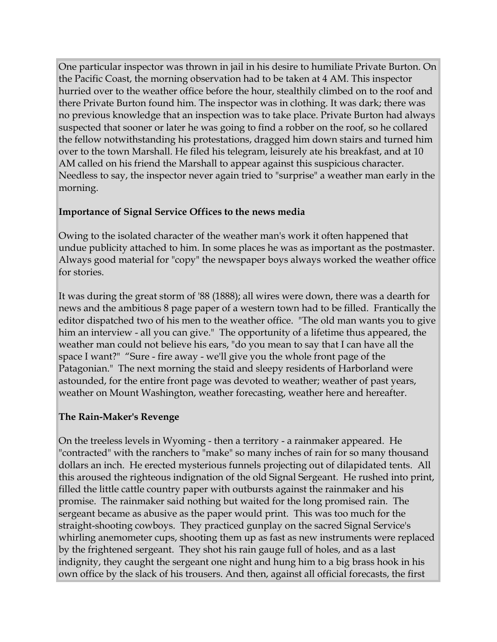One particular inspector was thrown in jail in his desire to humiliate Private Burton. On the Pacific Coast, the morning observation had to be taken at 4 AM. This inspector hurried over to the weather office before the hour, stealthily climbed on to the roof and there Private Burton found him. The inspector was in clothing. It was dark; there was no previous knowledge that an inspection was to take place. Private Burton had always suspected that sooner or later he was going to find a robber on the roof, so he collared the fellow notwithstanding his protestations, dragged him down stairs and turned him over to the town Marshall. He filed his telegram, leisurely ate his breakfast, and at 10 AM called on his friend the Marshall to appear against this suspicious character. Needless to say, the inspector never again tried to "surprise" a weather man early in the morning.

#### **Importance of Signal Service Offices to the news media**

Owing to the isolated character of the weather man's work it often happened that undue publicity attached to him. In some places he was as important as the postmaster. Always good material for "copy" the newspaper boys always worked the weather office for stories.

It was during the great storm of '88 (1888); all wires were down, there was a dearth for news and the ambitious 8 page paper of a western town had to be filled. Frantically the editor dispatched two of his men to the weather office. "The old man wants you to give him an interview - all you can give." The opportunity of a lifetime thus appeared, the weather man could not believe his ears, "do you mean to say that I can have all the space I want?" "Sure - fire away - we'll give you the whole front page of the Patagonian." The next morning the staid and sleepy residents of Harborland were astounded, for the entire front page was devoted to weather; weather of past years, weather on Mount Washington, weather forecasting, weather here and hereafter.

## **The Rain-Maker's Revenge**

On the treeless levels in Wyoming - then a territory - a rainmaker appeared. He "contracted" with the ranchers to "make" so many inches of rain for so many thousand dollars an inch. He erected mysterious funnels projecting out of dilapidated tents. All this aroused the righteous indignation of the old Signal Sergeant. He rushed into print, filled the little cattle country paper with outbursts against the rainmaker and his promise. The rainmaker said nothing but waited for the long promised rain. The sergeant became as abusive as the paper would print. This was too much for the straight-shooting cowboys. They practiced gunplay on the sacred Signal Service's whirling anemometer cups, shooting them up as fast as new instruments were replaced by the frightened sergeant. They shot his rain gauge full of holes, and as a last indignity, they caught the sergeant one night and hung him to a big brass hook in his own office by the slack of his trousers. And then, against all official forecasts, the first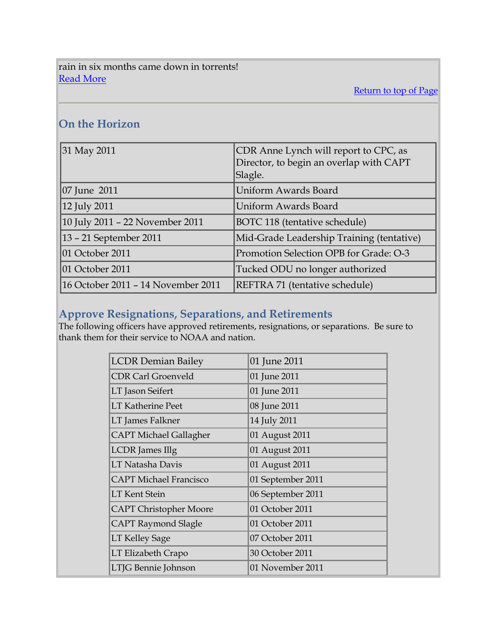rain in six months came down in torrents! [Read More](http://www.history.noaa.gov/stories_tales/signal_carpenter.html)

[Return to top of Page](#page-0-0)

# **On the Horizon**

| 31 May 2011                        | CDR Anne Lynch will report to CPC, as<br>Director, to begin an overlap with CAPT<br>Slagle. |
|------------------------------------|---------------------------------------------------------------------------------------------|
| 07 June 2011                       | Uniform Awards Board                                                                        |
| 12 July 2011                       | Uniform Awards Board                                                                        |
| 10 July 2011 - 22 November 2011    | BOTC 118 (tentative schedule)                                                               |
| 13 - 21 September 2011             | Mid-Grade Leadership Training (tentative)                                                   |
| 01 October 2011                    | Promotion Selection OPB for Grade: O-3                                                      |
| 01 October 2011                    | Tucked ODU no longer authorized                                                             |
| 16 October 2011 - 14 November 2011 | REFTRA 71 (tentative schedule)                                                              |

# <span id="page-4-0"></span>**Approve Resignations, Separations, and Retirements**

The following officers have approved retirements, resignations, or separations. Be sure to thank them for their service to NOAA and nation.

| <b>LCDR Demian Bailey</b>     | 01 June 2011      |  |  |
|-------------------------------|-------------------|--|--|
| <b>CDR Carl Groenveld</b>     | 01 June 2011      |  |  |
| LT Jason Seifert              | 01 June 2011      |  |  |
| <b>LT Katherine Peet</b>      | 08 June 2011      |  |  |
| LT James Falkner              | 14 July 2011      |  |  |
| <b>CAPT Michael Gallagher</b> | 01 August 2011    |  |  |
| <b>LCDR</b> James Illg        | 01 August 2011    |  |  |
| LT Natasha Davis              | 01 August 2011    |  |  |
| <b>CAPT Michael Francisco</b> | 01 September 2011 |  |  |
| <b>LT Kent Stein</b>          | 06 September 2011 |  |  |
| <b>CAPT Christopher Moore</b> | 01 October 2011   |  |  |
| <b>CAPT Raymond Slagle</b>    | 01 October 2011   |  |  |
| <b>LT Kelley Sage</b>         | 07 October 2011   |  |  |
| LT Elizabeth Crapo            | 30 October 2011   |  |  |
| LTJG Bennie Johnson           | 01 November 2011  |  |  |